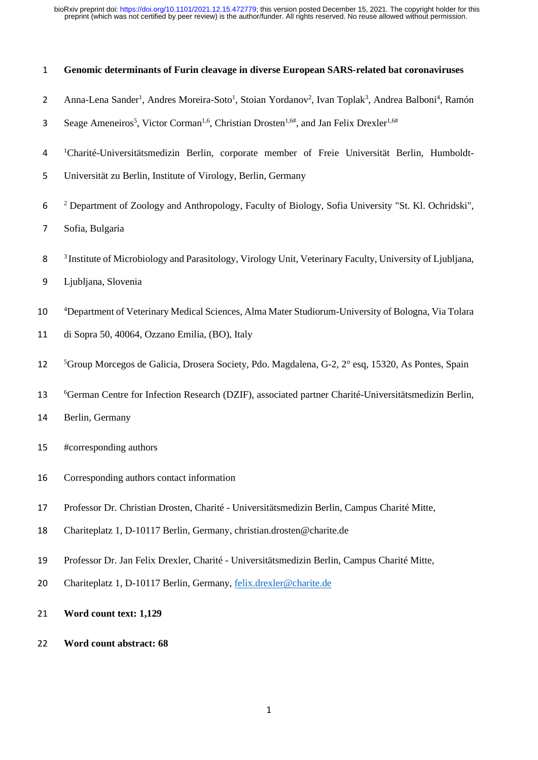| $\mathbf{1}$   | Genomic determinants of Furin cleavage in diverse European SARS-related bat coronaviruses                                                                        |  |  |  |  |
|----------------|------------------------------------------------------------------------------------------------------------------------------------------------------------------|--|--|--|--|
| $\overline{2}$ | Anna-Lena Sander <sup>1</sup> , Andres Moreira-Soto <sup>1</sup> , Stoian Yordanov <sup>2</sup> , Ivan Toplak <sup>3</sup> , Andrea Balboni <sup>4</sup> , Ramón |  |  |  |  |
| 3              | Seage Ameneiros <sup>5</sup> , Victor Corman <sup>1,6</sup> , Christian Drosten <sup>1,6#</sup> , and Jan Felix Drexler <sup>1,6#</sup>                          |  |  |  |  |
| 4              | <sup>1</sup> Charité-Universitätsmedizin Berlin, corporate member of Freie Universität Berlin, Humboldt-                                                         |  |  |  |  |
| 5              | Universität zu Berlin, Institute of Virology, Berlin, Germany                                                                                                    |  |  |  |  |
| 6              | <sup>2</sup> Department of Zoology and Anthropology, Faculty of Biology, Sofia University "St. Kl. Ochridski",                                                   |  |  |  |  |
| 7              | Sofia, Bulgaria                                                                                                                                                  |  |  |  |  |
| 8              | <sup>3</sup> Institute of Microbiology and Parasitology, Virology Unit, Veterinary Faculty, University of Ljubljana,                                             |  |  |  |  |
| 9              | Ljubljana, Slovenia                                                                                                                                              |  |  |  |  |
| 10             | <sup>4</sup> Department of Veterinary Medical Sciences, Alma Mater Studiorum-University of Bologna, Via Tolara                                                   |  |  |  |  |
| 11             | di Sopra 50, 40064, Ozzano Emilia, (BO), Italy                                                                                                                   |  |  |  |  |
| 12             | <sup>5</sup> Group Morcegos de Galicia, Drosera Society, Pdo. Magdalena, G-2, 2° esq, 15320, As Pontes, Spain                                                    |  |  |  |  |
| 13             | <sup>6</sup> German Centre for Infection Research (DZIF), associated partner Charité-Universitätsmedizin Berlin,                                                 |  |  |  |  |
| 14             | Berlin, Germany                                                                                                                                                  |  |  |  |  |
| 15             | #corresponding authors                                                                                                                                           |  |  |  |  |
| 16             | Corresponding authors contact information                                                                                                                        |  |  |  |  |
| 17             | Professor Dr. Christian Drosten, Charité - Universitätsmedizin Berlin, Campus Charité Mitte,                                                                     |  |  |  |  |
| 18             | Chariteplatz 1, D-10117 Berlin, Germany, christian.drosten@charite.de                                                                                            |  |  |  |  |
| 19             | Professor Dr. Jan Felix Drexler, Charité - Universitätsmedizin Berlin, Campus Charité Mitte,                                                                     |  |  |  |  |
| 20             | Chariteplatz 1, D-10117 Berlin, Germany, felix.drexler@charite.de                                                                                                |  |  |  |  |
| 21             | Word count text: 1,129                                                                                                                                           |  |  |  |  |
| 22             | Word count abstract: 68                                                                                                                                          |  |  |  |  |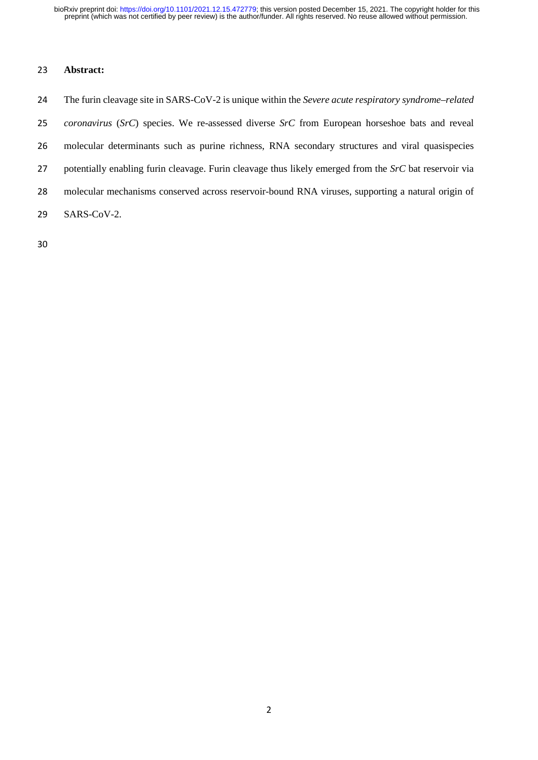## **Abstract:**

 The furin cleavage site in SARS-CoV-2 is unique within the *Severe acute respiratory syndrome–related coronavirus* (*SrC*) species. We re-assessed diverse *SrC* from European horseshoe bats and reveal molecular determinants such as purine richness, RNA secondary structures and viral quasispecies potentially enabling furin cleavage. Furin cleavage thus likely emerged from the *SrC* bat reservoir via molecular mechanisms conserved across reservoir-bound RNA viruses, supporting a natural origin of SARS-CoV-2.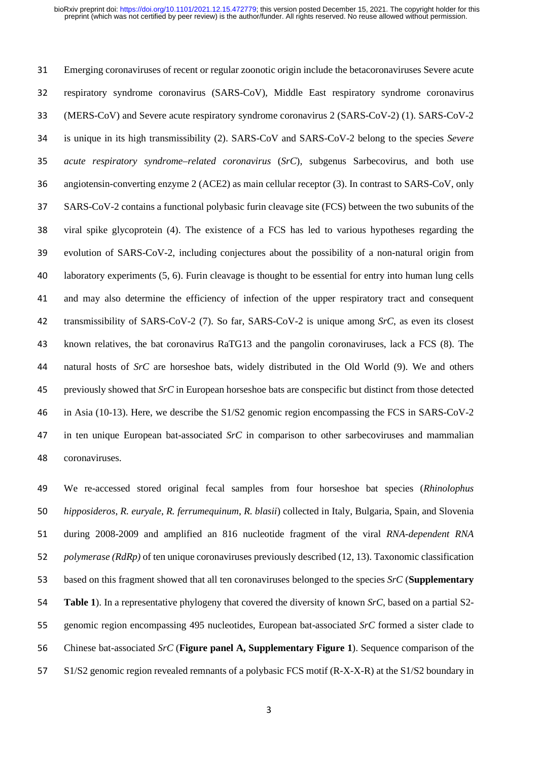Emerging coronaviruses of recent or regular zoonotic origin include the betacoronaviruses Severe acute respiratory syndrome coronavirus (SARS-CoV), Middle East respiratory syndrome coronavirus (MERS-CoV) and Severe acute respiratory syndrome coronavirus 2 (SARS-CoV-2) (1). SARS-CoV-2 is unique in its high transmissibility (2). SARS-CoV and SARS-CoV-2 belong to the species *Severe acute respiratory syndrome–related coronavirus* (*SrC*)*,* subgenus Sarbecovirus, and both use angiotensin-converting enzyme 2 (ACE2) as main cellular receptor (3). In contrast to SARS-CoV, only SARS-CoV-2 contains a functional polybasic furin cleavage site (FCS) between the two subunits of the viral spike glycoprotein (4). The existence of a FCS has led to various hypotheses regarding the evolution of SARS-CoV-2, including conjectures about the possibility of a non-natural origin from laboratory experiments (5, 6). Furin cleavage is thought to be essential for entry into human lung cells and may also determine the efficiency of infection of the upper respiratory tract and consequent transmissibility of SARS-CoV-2 (7). So far, SARS-CoV-2 is unique among *SrC*, as even its closest known relatives, the bat coronavirus RaTG13 and the pangolin coronaviruses, lack a FCS (8). The natural hosts of *SrC* are horseshoe bats, widely distributed in the Old World (9). We and others previously showed that *SrC* in European horseshoe bats are conspecific but distinct from those detected in Asia (10-13). Here, we describe the S1/S2 genomic region encompassing the FCS in SARS-CoV-2 in ten unique European bat-associated *SrC* in comparison to other sarbecoviruses and mammalian coronaviruses.

 We re-accessed stored original fecal samples from four horseshoe bat species (*Rhinolophus hipposideros*, *R. euryale*, *R. ferrumequinum*, *R. blasii*) collected in Italy, Bulgaria, Spain, and Slovenia during 2008-2009 and amplified an 816 nucleotide fragment of the viral *RNA-dependent RNA polymerase (RdRp)* of ten unique coronaviruses previously described (12, 13). Taxonomic classification based on this fragment showed that all ten coronaviruses belonged to the species *SrC* (**Supplementary Table 1**). In a representative phylogeny that covered the diversity of known *SrC*, based on a partial S2- genomic region encompassing 495 nucleotides, European bat-associated *SrC* formed a sister clade to Chinese bat-associated *SrC* (**Figure panel A, Supplementary Figure 1**). Sequence comparison of the S1/S2 genomic region revealed remnants of a polybasic FCS motif (R-X-X-R) at the S1/S2 boundary in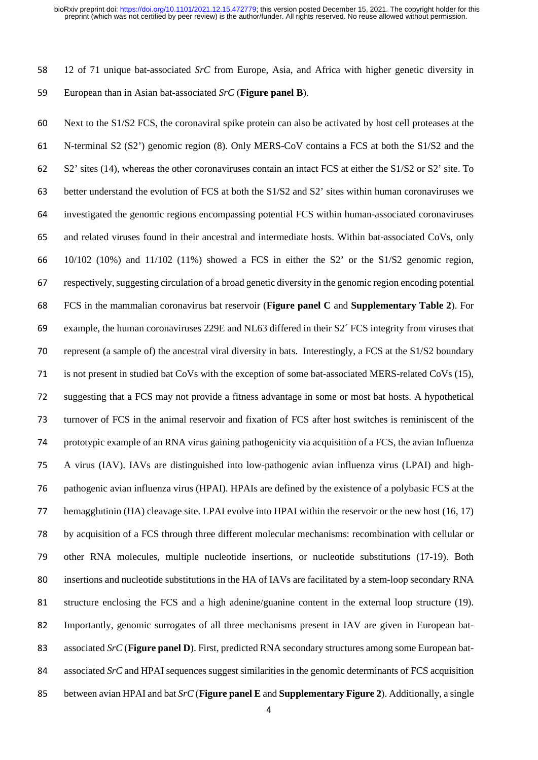12 of 71 unique bat-associated *SrC* from Europe, Asia, and Africa with higher genetic diversity in European than in Asian bat-associated *SrC* (**Figure panel B**).

 Next to the S1/S2 FCS, the coronaviral spike protein can also be activated by host cell proteases at the N-terminal S2 (S2') genomic region (8). Only MERS-CoV contains a FCS at both the S1/S2 and the S2' sites (14), whereas the other coronaviruses contain an intact FCS at either the S1/S2 or S2' site. To better understand the evolution of FCS at both the S1/S2 and S2' sites within human coronaviruses we investigated the genomic regions encompassing potential FCS within human-associated coronaviruses and related viruses found in their ancestral and intermediate hosts. Within bat-associated CoVs, only 10/102 (10%) and 11/102 (11%) showed a FCS in either the S2' or the S1/S2 genomic region, respectively, suggesting circulation of a broad genetic diversity in the genomic region encoding potential FCS in the mammalian coronavirus bat reservoir (**Figure panel C** and **Supplementary Table 2**). For example, the human coronaviruses 229E and NL63 differed in their S2´ FCS integrity from viruses that represent (a sample of) the ancestral viral diversity in bats. Interestingly, a FCS at the S1/S2 boundary is not present in studied bat CoVs with the exception of some bat-associated MERS-related CoVs (15), suggesting that a FCS may not provide a fitness advantage in some or most bat hosts. A hypothetical turnover of FCS in the animal reservoir and fixation of FCS after host switches is reminiscent of the prototypic example of an RNA virus gaining pathogenicity via acquisition of a FCS, the avian Influenza A virus (IAV). IAVs are distinguished into low-pathogenic avian influenza virus (LPAI) and high- pathogenic avian influenza virus (HPAI). HPAIs are defined by the existence of a polybasic FCS at the hemagglutinin (HA) cleavage site. LPAI evolve into HPAI within the reservoir or the new host (16, 17) by acquisition of a FCS through three different molecular mechanisms: recombination with cellular or other RNA molecules, multiple nucleotide insertions, or nucleotide substitutions (17-19). Both insertions and nucleotide substitutions in the HA of IAVs are facilitated by a stem-loop secondary RNA structure enclosing the FCS and a high adenine/guanine content in the external loop structure (19). Importantly, genomic surrogates of all three mechanisms present in IAV are given in European bat- associated *SrC* (**Figure panel D**). First, predicted RNA secondary structures among some European bat- associated *SrC* and HPAI sequences suggest similarities in the genomic determinants of FCS acquisition between avian HPAI and bat *SrC* (**Figure panel E** and **Supplementary Figure 2**). Additionally, a single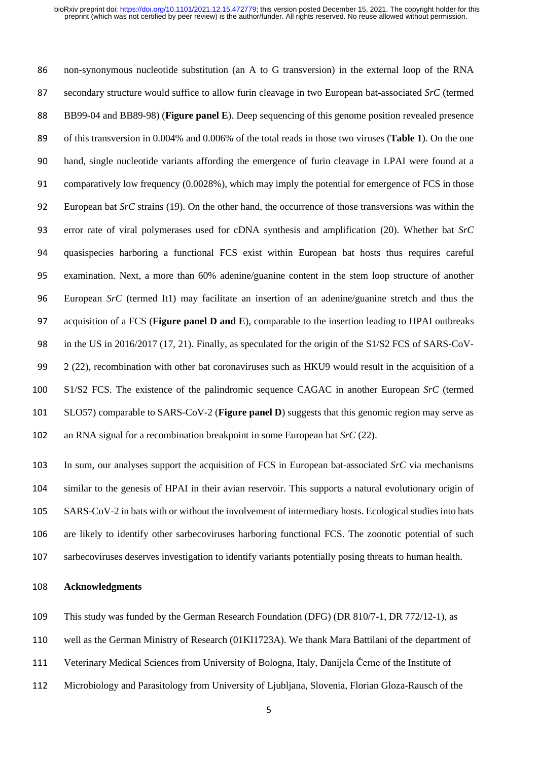non-synonymous nucleotide substitution (an A to G transversion) in the external loop of the RNA secondary structure would suffice to allow furin cleavage in two European bat-associated *SrC* (termed BB99-04 and BB89-98) (**Figure panel E**). Deep sequencing of this genome position revealed presence of this transversion in 0.004% and 0.006% of the total reads in those two viruses (**Table 1**). On the one hand, single nucleotide variants affording the emergence of furin cleavage in LPAI were found at a comparatively low frequency (0.0028%), which may imply the potential for emergence of FCS in those European bat *SrC* strains (19). On the other hand, the occurrence of those transversions was within the error rate of viral polymerases used for cDNA synthesis and amplification (20). Whether bat *SrC* quasispecies harboring a functional FCS exist within European bat hosts thus requires careful examination. Next, a more than 60% adenine/guanine content in the stem loop structure of another European *SrC* (termed It1) may facilitate an insertion of an adenine/guanine stretch and thus the acquisition of a FCS (**Figure panel D and E**), comparable to the insertion leading to HPAI outbreaks in the US in 2016/2017 (17, 21). Finally, as speculated for the origin of the S1/S2 FCS of SARS-CoV- $2(22)$ , recombination with other bat coronaviruses such as HKU9 would result in the acquisition of a S1/S2 FCS. The existence of the palindromic sequence CAGAC in another European *SrC* (termed SLO57) comparable to SARS-CoV-2 (**Figure panel D**) suggests that this genomic region may serve as an RNA signal for a recombination breakpoint in some European bat *SrC* (22).

 In sum, our analyses support the acquisition of FCS in European bat-associated *SrC* via mechanisms similar to the genesis of HPAI in their avian reservoir. This supports a natural evolutionary origin of SARS-CoV-2 in bats with or without the involvement of intermediary hosts. Ecological studies into bats are likely to identify other sarbecoviruses harboring functional FCS. The zoonotic potential of such sarbecoviruses deserves investigation to identify variants potentially posing threats to human health.

### **Acknowledgments**

- This study was funded by the German Research Foundation (DFG) (DR 810/7-1, DR 772/12-1), as
- well as the German Ministry of Research (01KI1723A). We thank Mara Battilani of the department of
- Veterinary Medical Sciences from University of Bologna, Italy, Danijela Černe of the Institute of
- Microbiology and Parasitology from University of Ljubljana, Slovenia, Florian Gloza-Rausch of the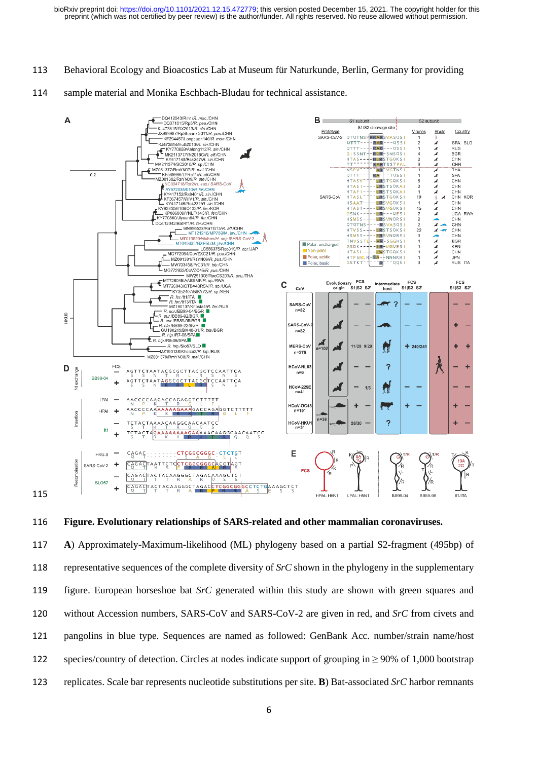- Behavioral Ecology and Bioacostics Lab at Museum für Naturkunde, Berlin, Germany for providing
- sample material and Monika Eschbach-Bludau for technical assistance.



**Figure. Evolutionary relationships of SARS-related and other mammalian coronaviruses.**

 **A**) Approximately-Maximum-likelihood (ML) phylogeny based on a partial S2-fragment (495bp) of representative sequences of the complete diversity of *SrC* shown in the phylogeny in the supplementary figure. European horseshoe bat *SrC* generated within this study are shown with green squares and without Accession numbers, SARS-CoV and SARS-CoV-2 are given in red, and *SrC* from civets and pangolins in blue type. Sequences are named as followed: GenBank Acc. number/strain name/host 122 species/country of detection. Circles at nodes indicate support of grouping in  $\geq$  90% of 1,000 bootstrap replicates. Scale bar represents nucleotide substitutions per site. **B**) Bat-associated *SrC* harbor remnants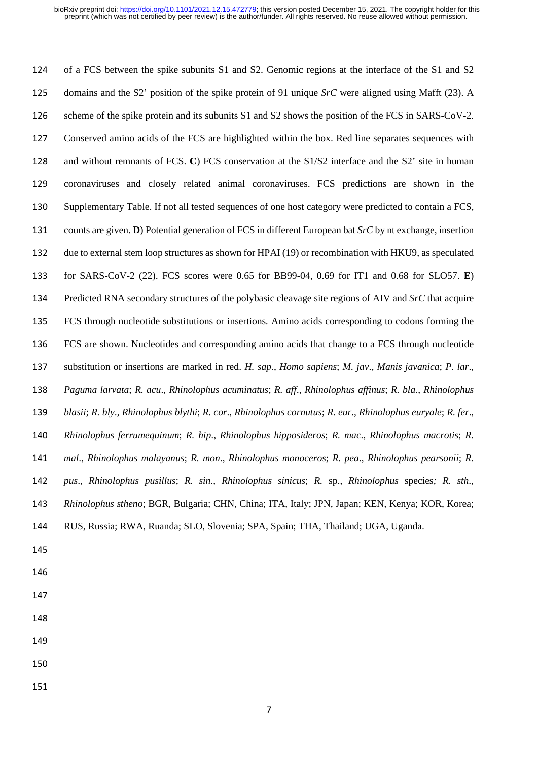of a FCS between the spike subunits S1 and S2. Genomic regions at the interface of the S1 and S2 domains and the S2' position of the spike protein of 91 unique *SrC* were aligned using Mafft (23). A scheme of the spike protein and its subunits S1 and S2 shows the position of the FCS in SARS-CoV-2. Conserved amino acids of the FCS are highlighted within the box. Red line separates sequences with and without remnants of FCS. **C**) FCS conservation at the S1/S2 interface and the S2' site in human coronaviruses and closely related animal coronaviruses. FCS predictions are shown in the Supplementary Table. If not all tested sequences of one host category were predicted to contain a FCS, counts are given. **D**) Potential generation of FCS in different European bat *SrC* by nt exchange, insertion due to external stem loop structures as shown for HPAI (19) or recombination with HKU9, as speculated for SARS-CoV-2 (22). FCS scores were 0.65 for BB99-04, 0.69 for IT1 and 0.68 for SLO57. **E**) Predicted RNA secondary structures of the polybasic cleavage site regions of AIV and *SrC* that acquire FCS through nucleotide substitutions or insertions*.* Amino acids corresponding to codons forming the FCS are shown. Nucleotides and corresponding amino acids that change to a FCS through nucleotide substitution or insertions are marked in red. *H. sap*., *Homo sapiens*; *M. jav*., *Manis javanica*; *P. lar*., *Paguma larvata*; *R. acu*., *Rhinolophus acuminatus*; *R. aff*., *Rhinolophus affinus*; *R. bla*., *Rhinolophus blasii*; *R. bly*., *Rhinolophus blythi*; *R. cor*., *Rhinolophus cornutus*; *R. eur*., *Rhinolophus euryale*; *R. fer*., *Rhinolophus ferrumequinum*; *R. hip*., *Rhinolophus hipposideros*; *R. mac*., *Rhinolophus macrotis*; *R. mal*., *Rhinolophus malayanus*; *R. mon*., *Rhinolophus monoceros*; *R. pea*., *Rhinolophus pearsonii*; *R. pus*., *Rhinolophus pusillus*; *R. sin*., *Rhinolophus sinicus*; *R.* sp., *Rhinolophus* species*; R. sth*., *Rhinolophus stheno*; BGR, Bulgaria; CHN, China; ITA, Italy; JPN, Japan; KEN, Kenya; KOR, Korea; RUS, Russia; RWA, Ruanda; SLO, Slovenia; SPA, Spain; THA, Thailand; UGA, Uganda.

- 
- 
- 
- 
- 
- 
-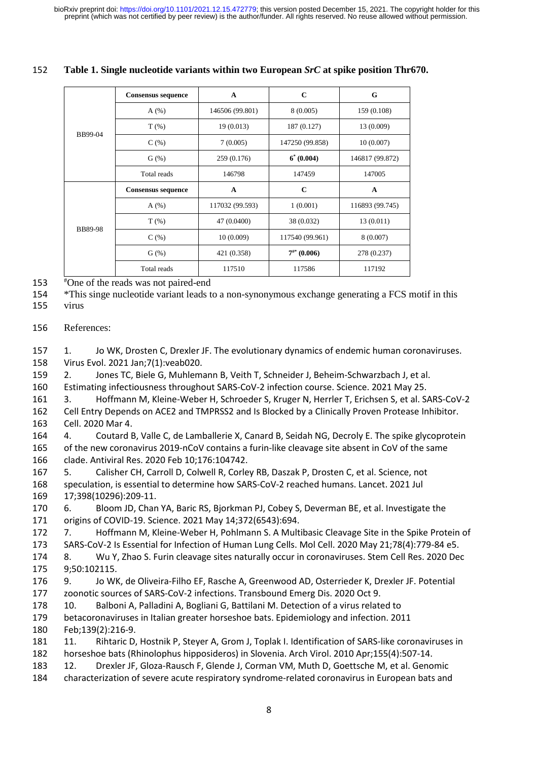# **Table 1. Single nucleotide variants within two European** *SrC* **at spike position Thr670.**

|                | Consensus sequence        | $\mathbf{A}$    | $\mathbf C$      | G               |
|----------------|---------------------------|-----------------|------------------|-----------------|
|                | A(%)                      | 146506 (99.801) | 8(0.005)         | 159 (0.108)     |
|                | $T(\%)$                   | 19 (0.013)      | 187 (0.127)      | 13 (0.009)      |
| BB99-04        | C(%)                      | 7(0.005)        | 147250 (99.858)  | 10(0.007)       |
|                | G(%)                      | 259 (0.176)     | $6^* (0.004)$    | 146817 (99.872) |
|                | Total reads               | 146798          | 147459           | 147005          |
|                | <b>Consensus sequence</b> | $\mathbf{A}$    | $\mathbf{C}$     | $\mathbf{A}$    |
|                | A(%)                      | 117032 (99.593) | 1(0.001)         | 116893 (99.745) |
|                | $T(\%)$                   | 47 (0.0400)     | 38 (0.032)       | 13(0.011)       |
| <b>BB89-98</b> | C(%)                      | 10 (0.009)      | 117540 (99.961)  | 8 (0.007)       |
|                | G(%)                      | 421 (0.358)     | $7^{**}$ (0.006) | 278 (0.237)     |
|                | Total reads               | 117510          | 117586           | 117192          |

One of the reads was not paired-end

\*This singe nucleotide variant leads to a non-synonymous exchange generating a FCS motif in this

virus

References:

 1. Jo WK, Drosten C, Drexler JF. The evolutionary dynamics of endemic human coronaviruses. Virus Evol. 2021 Jan;7(1):veab020.

2. Jones TC, Biele G, Muhlemann B, Veith T, Schneider J, Beheim-Schwarzbach J, et al.

Estimating infectiousness throughout SARS-CoV-2 infection course. Science. 2021 May 25.

 3. Hoffmann M, Kleine-Weber H, Schroeder S, Kruger N, Herrler T, Erichsen S, et al. SARS-CoV-2 Cell Entry Depends on ACE2 and TMPRSS2 and Is Blocked by a Clinically Proven Protease Inhibitor. Cell. 2020 Mar 4.

 4. Coutard B, Valle C, de Lamballerie X, Canard B, Seidah NG, Decroly E. The spike glycoprotein of the new coronavirus 2019-nCoV contains a furin-like cleavage site absent in CoV of the same clade. Antiviral Res. 2020 Feb 10;176:104742.

 5. Calisher CH, Carroll D, Colwell R, Corley RB, Daszak P, Drosten C, et al. Science, not speculation, is essential to determine how SARS-CoV-2 reached humans. Lancet. 2021 Jul 17;398(10296):209-11.

 6. Bloom JD, Chan YA, Baric RS, Bjorkman PJ, Cobey S, Deverman BE, et al. Investigate the origins of COVID-19. Science. 2021 May 14;372(6543):694.

 7. Hoffmann M, Kleine-Weber H, Pohlmann S. A Multibasic Cleavage Site in the Spike Protein of SARS-CoV-2 Is Essential for Infection of Human Lung Cells. Mol Cell. 2020 May 21;78(4):779-84 e5.

 8. Wu Y, Zhao S. Furin cleavage sites naturally occur in coronaviruses. Stem Cell Res. 2020 Dec 9;50:102115.

 9. Jo WK, de Oliveira-Filho EF, Rasche A, Greenwood AD, Osterrieder K, Drexler JF. Potential zoonotic sources of SARS-CoV-2 infections. Transbound Emerg Dis. 2020 Oct 9.

10. Balboni A, Palladini A, Bogliani G, Battilani M. Detection of a virus related to

 betacoronaviruses in Italian greater horseshoe bats. Epidemiology and infection. 2011 Feb;139(2):216-9.

 11. Rihtaric D, Hostnik P, Steyer A, Grom J, Toplak I. Identification of SARS-like coronaviruses in horseshoe bats (Rhinolophus hipposideros) in Slovenia. Arch Virol. 2010 Apr;155(4):507-14.

12. Drexler JF, Gloza-Rausch F, Glende J, Corman VM, Muth D, Goettsche M, et al. Genomic

characterization of severe acute respiratory syndrome-related coronavirus in European bats and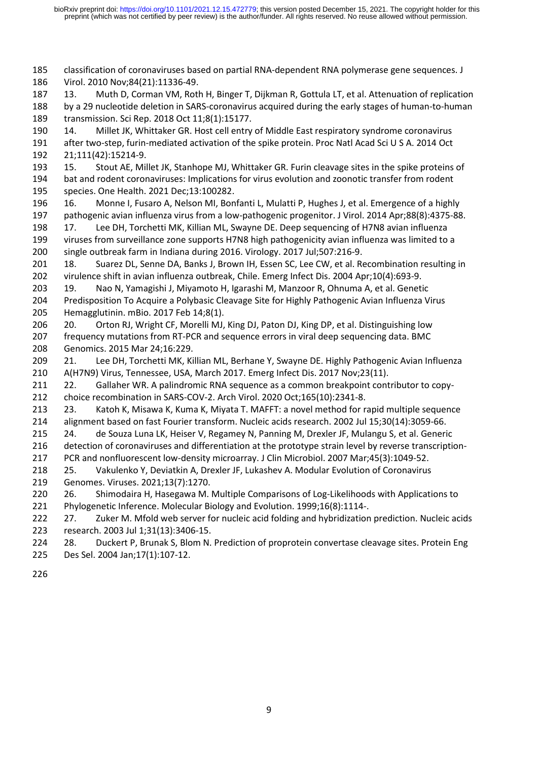classification of coronaviruses based on partial RNA-dependent RNA polymerase gene sequences. J Virol. 2010 Nov;84(21):11336-49.

 13. Muth D, Corman VM, Roth H, Binger T, Dijkman R, Gottula LT, et al. Attenuation of replication by a 29 nucleotide deletion in SARS-coronavirus acquired during the early stages of human-to-human transmission. Sci Rep. 2018 Oct 11;8(1):15177.

 14. Millet JK, Whittaker GR. Host cell entry of Middle East respiratory syndrome coronavirus after two-step, furin-mediated activation of the spike protein. Proc Natl Acad Sci U S A. 2014 Oct 21;111(42):15214-9.

 15. Stout AE, Millet JK, Stanhope MJ, Whittaker GR. Furin cleavage sites in the spike proteins of bat and rodent coronaviruses: Implications for virus evolution and zoonotic transfer from rodent species. One Health. 2021 Dec;13:100282.

- 16. Monne I, Fusaro A, Nelson MI, Bonfanti L, Mulatti P, Hughes J, et al. Emergence of a highly pathogenic avian influenza virus from a low-pathogenic progenitor. J Virol. 2014 Apr;88(8):4375-88.
- 17. Lee DH, Torchetti MK, Killian ML, Swayne DE. Deep sequencing of H7N8 avian influenza viruses from surveillance zone supports H7N8 high pathogenicity avian influenza was limited to a single outbreak farm in Indiana during 2016. Virology. 2017 Jul;507:216-9.
- 201 18. Suarez DL, Senne DA, Banks J, Brown IH, Essen SC, Lee CW, et al. Recombination resulting in virulence shift in avian influenza outbreak, Chile. Emerg Infect Dis. 2004 Apr;10(4):693-9.
- 19. Nao N, Yamagishi J, Miyamoto H, Igarashi M, Manzoor R, Ohnuma A, et al. Genetic Predisposition To Acquire a Polybasic Cleavage Site for Highly Pathogenic Avian Influenza Virus Hemagglutinin. mBio. 2017 Feb 14;8(1).
- 206 20. Orton RJ, Wright CF, Morelli MJ, King DJ, Paton DJ, King DP, et al. Distinguishing low frequency mutations from RT-PCR and sequence errors in viral deep sequencing data. BMC Genomics. 2015 Mar 24;16:229.
- 21. Lee DH, Torchetti MK, Killian ML, Berhane Y, Swayne DE. Highly Pathogenic Avian Influenza A(H7N9) Virus, Tennessee, USA, March 2017. Emerg Infect Dis. 2017 Nov;23(11).
- 22. Gallaher WR. A palindromic RNA sequence as a common breakpoint contributor to copy-choice recombination in SARS-COV-2. Arch Virol. 2020 Oct;165(10):2341-8.
- 23. Katoh K, Misawa K, Kuma K, Miyata T. MAFFT: a novel method for rapid multiple sequence alignment based on fast Fourier transform. Nucleic acids research. 2002 Jul 15;30(14):3059-66.
- 215 24. de Souza Luna LK, Heiser V, Regamey N, Panning M, Drexler JF, Mulangu S, et al. Generic 216 detection of coronaviruses and differentiation at the prototype strain level by reverse transcription-
- PCR and nonfluorescent low-density microarray. J Clin Microbiol. 2007 Mar;45(3):1049-52.
- 25. Vakulenko Y, Deviatkin A, Drexler JF, Lukashev A. Modular Evolution of Coronavirus Genomes. Viruses. 2021;13(7):1270.
- 220 26. Shimodaira H, Hasegawa M. Multiple Comparisons of Log-Likelihoods with Applications to Phylogenetic Inference. Molecular Biology and Evolution. 1999;16(8):1114-.
- 27. Zuker M. Mfold web server for nucleic acid folding and hybridization prediction. Nucleic acids research. 2003 Jul 1;31(13):3406-15.
- 224 28. Duckert P, Brunak S, Blom N. Prediction of proprotein convertase cleavage sites. Protein Eng Des Sel. 2004 Jan;17(1):107-12.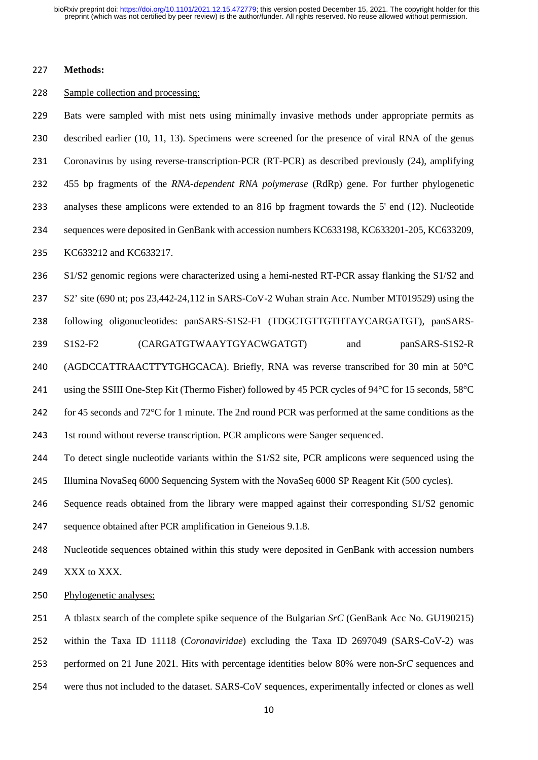### **Methods:**

#### 228 Sample collection and processing:

 Bats were sampled with mist nets using minimally invasive methods under appropriate permits as described earlier (10, 11, 13). Specimens were screened for the presence of viral RNA of the genus Coronavirus by using reverse-transcription-PCR (RT-PCR) as described previously (24), amplifying 455 bp fragments of the *RNA-dependent RNA polymerase* (RdRp) gene. For further phylogenetic analyses these amplicons were extended to an 816 bp fragment towards the 5' end (12). Nucleotide sequences were deposited in GenBank with accession numbers KC633198, KC633201-205, KC633209, KC633212 and KC633217. S1/S2 genomic regions were characterized using a hemi-nested RT-PCR assay flanking the S1/S2 and S2' site (690 nt; pos 23,442-24,112 in SARS-CoV-2 Wuhan strain Acc. Number MT019529) using the following oligonucleotides: panSARS-S1S2-F1 (TDGCTGTTGTHTAYCARGATGT), panSARS-

S1S2-F2 (CARGATGTWAAYTGYACWGATGT) and panSARS-S1S2-R

(AGDCCATTRAACTTYTGHGCACA). Briefly, RNA was reverse transcribed for 30 min at 50°C

using the SSIII One-Step Kit (Thermo Fisher) followed by 45 PCR cycles of 94°C for 15 seconds, 58°C

for 45 seconds and 72°C for 1 minute. The 2nd round PCR was performed at the same conditions as the

1st round without reverse transcription. PCR amplicons were Sanger sequenced.

 To detect single nucleotide variants within the S1/S2 site, PCR amplicons were sequenced using the Illumina NovaSeq 6000 Sequencing System with the NovaSeq 6000 SP Reagent Kit (500 cycles).

Sequence reads obtained from the library were mapped against their corresponding S1/S2 genomic

sequence obtained after PCR amplification in Geneious 9.1.8.

Nucleotide sequences obtained within this study were deposited in GenBank with accession numbers

XXX to XXX.

Phylogenetic analyses:

A tblastx search of the complete spike sequence of the Bulgarian *SrC* (GenBank Acc No. GU190215)

within the Taxa ID 11118 (*Coronaviridae*) excluding the Taxa ID 2697049 (SARS-CoV-2) was

performed on 21 June 2021. Hits with percentage identities below 80% were non-*SrC* sequences and

were thus not included to the dataset. SARS-CoV sequences, experimentally infected or clones as well